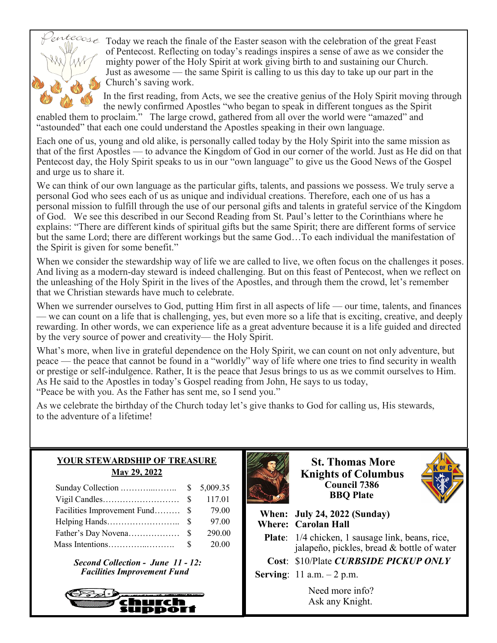

 $\text{trace}_{\text{max}}$  Today we reach the finale of the Easter season with the celebration of the great Feast of Pentecost. Reflecting on today's readings inspires a sense of awe as we consider the mighty power of the Holy Spirit at work giving birth to and sustaining our Church. Just as awesome — the same Spirit is calling to us this day to take up our part in the Church's saving work.

> In the first reading, from Acts, we see the creative genius of the Holy Spirit moving through the newly confirmed Apostles "who began to speak in different tongues as the Spirit

enabled them to proclaim." The large crowd, gathered from all over the world were "amazed" and "astounded" that each one could understand the Apostles speaking in their own language.

Each one of us, young and old alike, is personally called today by the Holy Spirit into the same mission as that of the first Apostles — to advance the Kingdom of God in our corner of the world. Just as He did on that Pentecost day, the Holy Spirit speaks to us in our "own language" to give us the Good News of the Gospel and urge us to share it.

We can think of our own language as the particular gifts, talents, and passions we possess. We truly serve a personal God who sees each of us as unique and individual creations. Therefore, each one of us has a personal mission to fulfill through the use of our personal gifts and talents in grateful service of the Kingdom of God. We see this described in our Second Reading from St. Paul's letter to the Corinthians where he explains: "There are different kinds of spiritual gifts but the same Spirit; there are different forms of service but the same Lord; there are different workings but the same God…To each individual the manifestation of the Spirit is given for some benefit."

When we consider the stewardship way of life we are called to live, we often focus on the challenges it poses. And living as a modern-day steward is indeed challenging. But on this feast of Pentecost, when we reflect on the unleashing of the Holy Spirit in the lives of the Apostles, and through them the crowd, let's remember that we Christian stewards have much to celebrate.

When we surrender ourselves to God, putting Him first in all aspects of life — our time, talents, and finances — we can count on a life that is challenging, yes, but even more so a life that is exciting, creative, and deeply rewarding. In other words, we can experience life as a great adventure because it is a life guided and directed by the very source of power and creativity— the Holy Spirit.

What's more, when live in grateful dependence on the Holy Spirit, we can count on not only adventure, but peace — the peace that cannot be found in a "worldly" way of life where one tries to find security in wealth or prestige or self-indulgence. Rather, It is the peace that Jesus brings to us as we commit ourselves to Him. As He said to the Apostles in today's Gospel reading from John, He says to us today,

"Peace be with you. As the Father has sent me, so I send you."

As we celebrate the birthday of the Church today let's give thanks to God for calling us, His stewards, to the adventure of a lifetime!

| <b>YOUR STEWARDSHIP OF TREASURE</b> |
|-------------------------------------|
| May 29, 2022                        |

|                                | 117.01 |
|--------------------------------|--------|
| Facilities Improvement Fund \$ | 79.00  |
|                                | 97.00  |
|                                | 290.00 |
|                                | 20.00  |

*Second Collection - June 11 - 12: Facilities Improvement Fund*





**St. Thomas More Knights of Columbus Council 7386 BBQ Plate** 



 **When: July 24, 2022 (Sunday) Where: Carolan Hall**

Plate:  $1/4$  chicken, 1 sausage link, beans, rice, jalapeño, pickles, bread & bottle of water

**Cost**: \$10/Plate *CURBSIDE PICKUP ONLY* 

**Serving**: 11 a.m. – 2 p.m.

Need more info? Ask any Knight.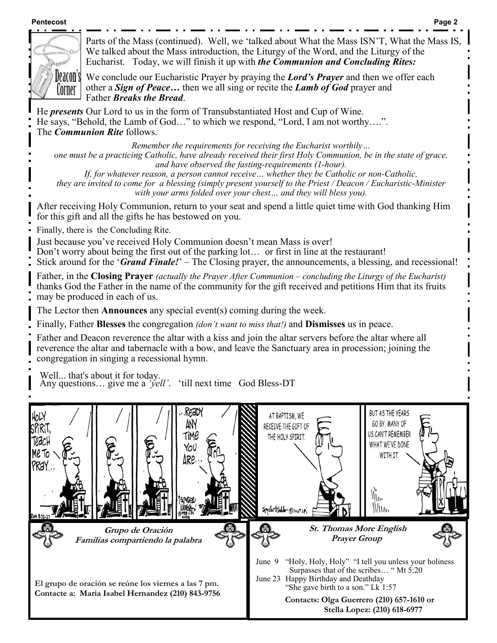#### **Pentecost Page 2**



Parts of the Mass (continued). Well, we 'talked about What the Mass ISN'T, What the Mass IS We talked about the Mass introduction, the Liturgy of the Word, and the Liturgy of the Eucharist. Today, we will finish it up with *the Communion and Concluding Rites:* 

We conclude our Eucharistic Prayer by praying the *Lord's Prayer* and then we offer each other a *Sign of Peace…* then we all sing or recite the *Lamb of God* prayer and Father *Breaks the Bread*.

He *presents* Our Lord to us in the form of Transubstantiated Host and Cup of Wine. He says, "Behold, the Lamb of God…" to which we respond, "Lord, I am not worthy….". The *Communion Rite* follows.

*Remember the requirements for receiving the Eucharist worthily… one must be a practicing Catholic, have already received their first Holy Communion, be in the state of grace, and have observed the fasting-requirements (1-hour).* 

*If, for whatever reason, a person cannot receive… whether they be Catholic or non-Catholic, they are invited to come for a blessing (simply present yourself to the Priest / Deacon / Eucharistic-Minister with your arms folded over your chest… and they will bless you).* 

After receiving Holy Communion, return to your seat and spend a little quiet time with God thanking Him for this gift and all the gifts he has bestowed on you.

Finally, there is the Concluding Rite.

Just because you've received Holy Communion doesn't mean Mass is over!

Don't worry about being the first out of the parking lot... or first in line at the restaurant!

Stick around for the '*Grand Finale!*' – The Closing prayer, the announcements, a blessing, and recessional!

Father, in the **Closing Prayer** *(actually the Prayer After Communion – concluding the Liturgy of the Eucharist)*  thanks God the Father in the name of the community for the gift received and petitions Him that its fruits may be produced in each of us.

The Lector then **Announces** any special event(s) coming during the week.

Finally, Father **Blesses** the congregation *(don't want to miss that!)* and **Dismisses** us in peace.

Father and Deacon reverence the altar with a kiss and join the altar servers before the altar where all reverence the altar and tabernacle with a bow, and leave the Sanctuary area in procession; joining the congregation in singing a recessional hymn.

Well... that's about it for today. Any questions… give me a *'yell'*. 'till next time God Bless-DT

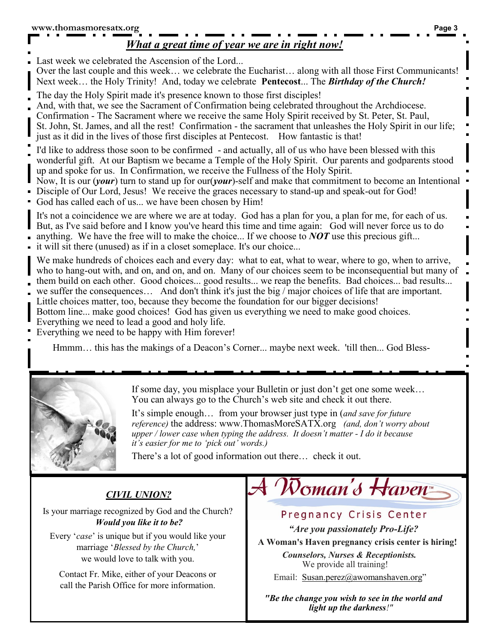### *What a great time of year we are in right now!*

Last week we celebrated the Ascension of the Lord...

Over the last couple and this week… we celebrate the Eucharist… along with all those First Communicants! Next week… the Holy Trinity! And, today we celebrate **Pentecost**... The *Birthday of the Church!*

- The day the Holy Spirit made it's presence known to those first disciples!
- And, with that, we see the Sacrament of Confirmation being celebrated throughout the Archdiocese.
- Confirmation The Sacrament where we receive the same Holy Spirit received by St. Peter, St. Paul,
- St. John, St. James, and all the rest! Confirmation the sacrament that unleashes the Holy Spirit in our life; just as it did in the lives of those first disciples at Pentecost. How fantastic is that!
- I'd like to address those soon to be confirmed and actually, all of us who have been blessed with this wonderful gift. At our Baptism we became a Temple of the Holy Spirit. Our parents and godparents stood up and spoke for us. In Confirmation, we receive the Fullness of the Holy Spirit.
- Now, It is our (*your*) turn to stand up for our(*your*)-self and make that commitment to become an Intentional
- Disciple of Our Lord, Jesus! We receive the graces necessary to stand-up and speak-out for God!
- God has called each of us... we have been chosen by Him!
- It's not a coincidence we are where we are at today. God has a plan for you, a plan for me, for each of us. But, as I've said before and I know you've heard this time and time again: God will never force us to do
- anything. We have the free will to make the choice... If we choose to *NOT* use this precious gift...
- it will sit there (unused) as if in a closet someplace. It's our choice...
- We make hundreds of choices each and every day: what to eat, what to wear, where to go, when to arrive, who to hang-out with, and on, and on, and on. Many of our choices seem to be inconsequential but many of
- them build on each other. Good choices... good results... we reap the benefits. Bad choices... bad results...
- we suffer the consequences… And don't think it's just the big / major choices of life that are important.
- Little choices matter, too, because they become the foundation for our bigger decisions!
- Bottom line... make good choices! God has given us everything we need to make good choices.
- Everything we need to lead a good and holy life.
- Everything we need to be happy with Him forever!

Hmmm… this has the makings of a Deacon's Corner... maybe next week. 'till then... God Bless-



If some day, you misplace your Bulletin or just don't get one some week… You can always go to the Church's web site and check it out there.

It's simple enough… from your browser just type in (*and save for future reference)* the address: www.ThomasMoreSATX.org *(and, don't worry about upper / lower case when typing the address. It doesn't matter - I do it because it's easier for me to 'pick out' words.)*

There's a lot of good information out there… check it out.

## *CIVIL UNION?*

Is your marriage recognized by God and the Church? *Would you like it to be?* 

Every '*case*' is unique but if you would like your marriage '*Blessed by the Church,*' we would love to talk with you.

Contact Fr. Mike, either of your Deacons or call the Parish Office for more information.

# Woman's Haven

## Pregnancy Crisis Center

*"Are you passionately Pro-Life?* 

**A Woman's Haven pregnancy crisis center is hiring!** 

*Counselors, Nurses & Receptionists.*  We provide all training!

Email: [Susan.perez@awomanshaven.org](mailto:Susan.perez@awomanshaven.org)"

*"Be the change you wish to see in the world and light up the darkness!"*